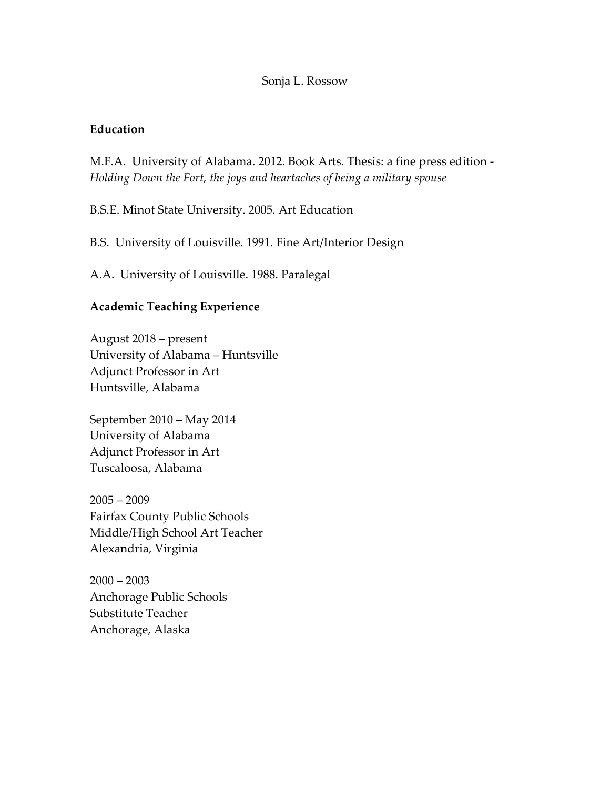#### Sonja L. Rossow

## **Education**

M.F.A. University of Alabama. 2012. Book Arts. Thesis: a fine press edition - *Holding Down the Fort, the joys and heartaches of being a military spouse*

B.S.E. Minot State University. 2005. Art Education

B.S. University of Louisville. 1991. Fine Art/Interior Design

A.A. University of Louisville. 1988. Paralegal

## **Academic Teaching Experience**

August 2018 – present University of Alabama – Huntsville Adjunct Professor in Art Huntsville, Alabama

September 2010 – May 2014 University of Alabama Adjunct Professor in Art Tuscaloosa, Alabama

 $2005 - 2009$ Fairfax County Public Schools Middle/High School Art Teacher Alexandria, Virginia

 $2000 - 2003$ Anchorage Public Schools Substitute Teacher Anchorage, Alaska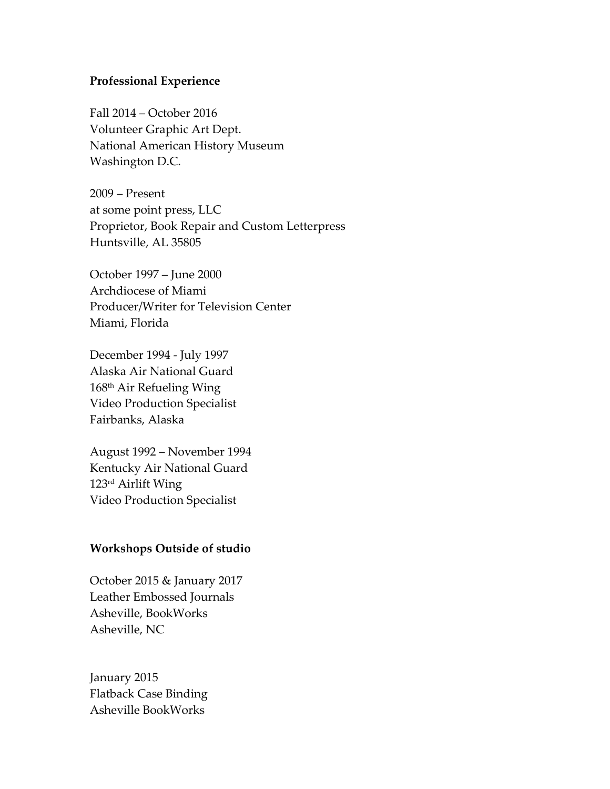## **Professional Experience**

Fall 2014 – October 2016 Volunteer Graphic Art Dept. National American History Museum Washington D.C.

2009 – Present at some point press, LLC Proprietor, Book Repair and Custom Letterpress Huntsville, AL 35805

October 1997 – June 2000 Archdiocese of Miami Producer/Writer for Television Center Miami, Florida

December 1994 - July 1997 Alaska Air National Guard 168th Air Refueling Wing Video Production Specialist Fairbanks, Alaska

August 1992 – November 1994 Kentucky Air National Guard 123rd Airlift Wing Video Production Specialist

### **Workshops Outside of studio**

October 2015 & January 2017 Leather Embossed Journals Asheville, BookWorks Asheville, NC

January 2015 Flatback Case Binding Asheville BookWorks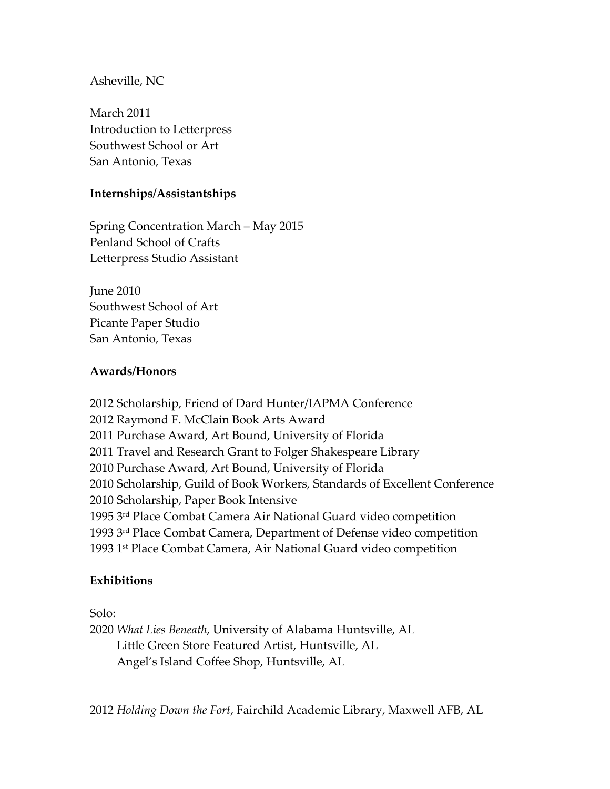## Asheville, NC

March 2011 Introduction to Letterpress Southwest School or Art San Antonio, Texas

## **Internships/Assistantships**

Spring Concentration March – May 2015 Penland School of Crafts Letterpress Studio Assistant

June 2010 Southwest School of Art Picante Paper Studio San Antonio, Texas

## **Awards/Honors**

2012 Scholarship, Friend of Dard Hunter/IAPMA Conference 2012 Raymond F. McClain Book Arts Award 2011 Purchase Award, Art Bound, University of Florida 2011 Travel and Research Grant to Folger Shakespeare Library 2010 Purchase Award, Art Bound, University of Florida 2010 Scholarship, Guild of Book Workers, Standards of Excellent Conference 2010 Scholarship, Paper Book Intensive 1995 3rd Place Combat Camera Air National Guard video competition 1993 3rd Place Combat Camera, Department of Defense video competition 1993 1st Place Combat Camera, Air National Guard video competition

### **Exhibitions**

Solo:

2020 *What Lies Beneath*, University of Alabama Huntsville, AL Little Green Store Featured Artist, Huntsville, AL Angel's Island Coffee Shop, Huntsville, AL

2012 *Holding Down the Fort*, Fairchild Academic Library, Maxwell AFB, AL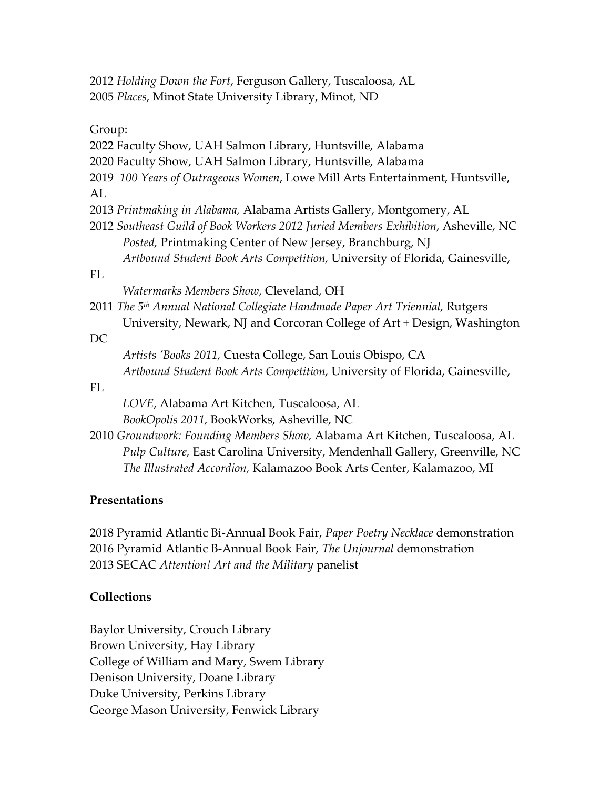2012 *Holding Down the Fort*, Ferguson Gallery, Tuscaloosa, AL 2005 *Places,* Minot State University Library, Minot, ND

Group:

2022 Faculty Show, UAH Salmon Library, Huntsville, Alabama

2020 Faculty Show, UAH Salmon Library, Huntsville, Alabama

2019 *100 Years of Outrageous Women*, Lowe Mill Arts Entertainment, Huntsville, AL

2013 *Printmaking in Alabama,* Alabama Artists Gallery, Montgomery, AL

2012 *Southeast Guild of Book Workers 2012 Juried Members Exhibition*, Asheville, NC *Posted,* Printmaking Center of New Jersey, Branchburg, NJ

*Artbound Student Book Arts Competition,* University of Florida, Gainesville,

## FL

*Watermarks Members Show*, Cleveland, OH

2011 *The 5th Annual National Collegiate Handmade Paper Art Triennial,* Rutgers University, Newark, NJ and Corcoran College of Art + Design, Washington

### DC

 *Artists 'Books 2011,* Cuesta College, San Louis Obispo, CA *Artbound Student Book Arts Competition,* University of Florida, Gainesville,

#### FL

 *LOVE*, Alabama Art Kitchen, Tuscaloosa, AL *BookOpolis 2011,* BookWorks, Asheville, NC

2010 *Groundwork: Founding Members Show,* Alabama Art Kitchen, Tuscaloosa, AL *Pulp Culture,* East Carolina University, Mendenhall Gallery, Greenville, NC *The Illustrated Accordion,* Kalamazoo Book Arts Center, Kalamazoo, MI

### **Presentations**

2018 Pyramid Atlantic Bi-Annual Book Fair, *Paper Poetry Necklace* demonstration 2016 Pyramid Atlantic B-Annual Book Fair, *The Unjournal* demonstration 2013 SECAC *Attention! Art and the Military* panelist

# **Collections**

Baylor University, Crouch Library Brown University, Hay Library College of William and Mary, Swem Library Denison University, Doane Library Duke University, Perkins Library George Mason University, Fenwick Library